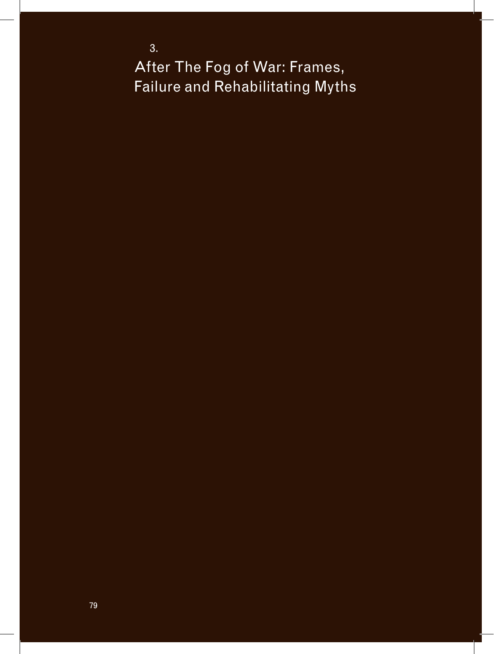3. After The Fog of War: Frames, Failure and Rehabilitating Myths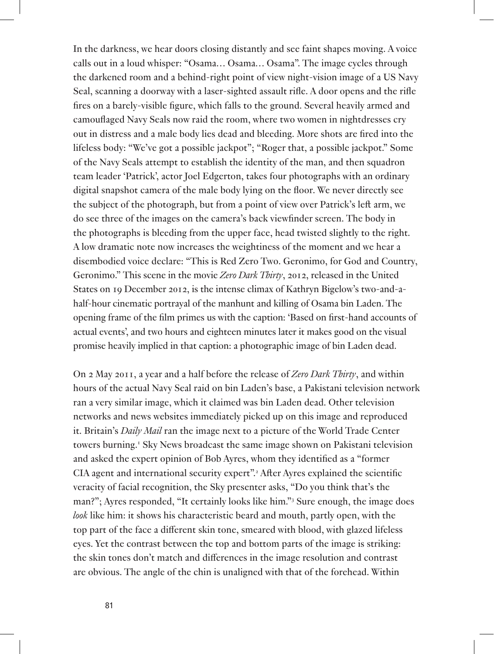In the darkness, we hear doors closing distantly and see faint shapes moving. A voice calls out in a loud whisper: "Osama… Osama… Osama". The image cycles through the darkened room and a behind-right point of view night-vision image of a US Navy Seal, scanning a doorway with a laser-sighted assault rifle. A door opens and the rifle fires on a barely-visible figure, which falls to the ground. Several heavily armed and camouflaged Navy Seals now raid the room, where two women in nightdresses cry out in distress and a male body lies dead and bleeding. More shots are fired into the lifeless body: "We've got a possible jackpot"; "Roger that, a possible jackpot." Some of the Navy Seals attempt to establish the identity of the man, and then squadron team leader 'Patrick', actor Joel Edgerton, takes four photographs with an ordinary digital snapshot camera of the male body lying on the floor. We never directly see the subject of the photograph, but from a point of view over Patrick's left arm, we do see three of the images on the camera's back viewfinder screen. The body in the photographs is bleeding from the upper face, head twisted slightly to the right. A low dramatic note now increases the weightiness of the moment and we hear a disembodied voice declare: "This is Red Zero Two. Geronimo, for God and Country, Geronimo." This scene in the movie *Zero Dark Thirty*, 2012, released in the United States on 19 December 2012, is the intense climax of Kathryn Bigelow's two-and-ahalf-hour cinematic portrayal of the manhunt and killing of Osama bin Laden. The opening frame of the film primes us with the caption: 'Based on first-hand accounts of actual events', and two hours and eighteen minutes later it makes good on the visual promise heavily implied in that caption: a photographic image of bin Laden dead.

On 2 May 2011, a year and a half before the release of *Zero Dark Thirty*, and within hours of the actual Navy Seal raid on bin Laden's base, a Pakistani television network ran a very similar image, which it claimed was bin Laden dead. Other television networks and news websites immediately picked up on this image and reproduced it. Britain's *Daily Mail* ran the image next to a picture of the World Trade Center towers burning.<sup>1</sup> Sky News broadcast the same image shown on Pakistani television and asked the expert opinion of Bob Ayres, whom they identified as a "former CIA agent and international security expert".<sup>2</sup> After Ayres explained the scientific veracity of facial recognition, the Sky presenter asks, "Do you think that's the man?"; Ayres responded, "It certainly looks like him."<sup>3</sup> Sure enough, the image does *look* like him: it shows his characteristic beard and mouth, partly open, with the top part of the face a different skin tone, smeared with blood, with glazed lifeless eyes. Yet the contrast between the top and bottom parts of the image is striking: the skin tones don't match and differences in the image resolution and contrast are obvious. The angle of the chin is unaligned with that of the forehead. Within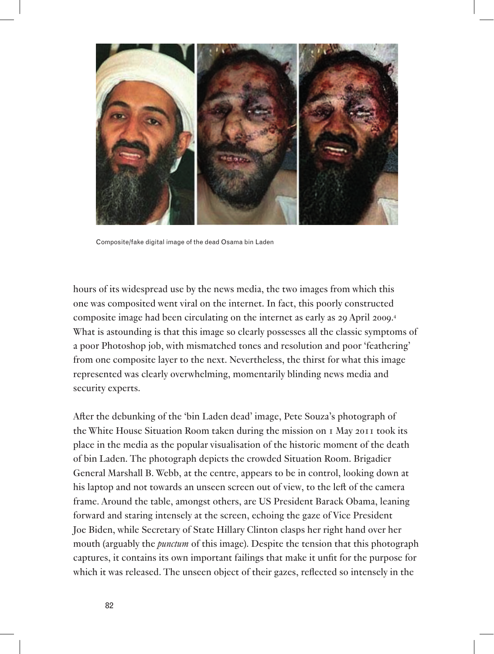

Composite/fake digital image of the dead Osama bin Laden

hours of its widespread use by the news media, the two images from which this one was composited went viral on the internet. In fact, this poorly constructed composite image had been circulating on the internet as early as 29 April 2009.4 What is astounding is that this image so clearly possesses all the classic symptoms of a poor Photoshop job, with mismatched tones and resolution and poor 'feathering' from one composite layer to the next. Nevertheless, the thirst for what this image represented was clearly overwhelming, momentarily blinding news media and security experts.

After the debunking of the 'bin Laden dead' image, Pete Souza's photograph of the White House Situation Room taken during the mission on 1 May 2011 took its place in the media as the popular visualisation of the historic moment of the death of bin Laden. The photograph depicts the crowded Situation Room. Brigadier General Marshall B. Webb, at the centre, appears to be in control, looking down at his laptop and not towards an unseen screen out of view, to the left of the camera frame. Around the table, amongst others, are US President Barack Obama, leaning forward and staring intensely at the screen, echoing the gaze of Vice President Joe Biden, while Secretary of State Hillary Clinton clasps her right hand over her mouth (arguably the *punctum* of this image). Despite the tension that this photograph captures, it contains its own important failings that make it unfit for the purpose for which it was released. The unseen object of their gazes, reflected so intensely in the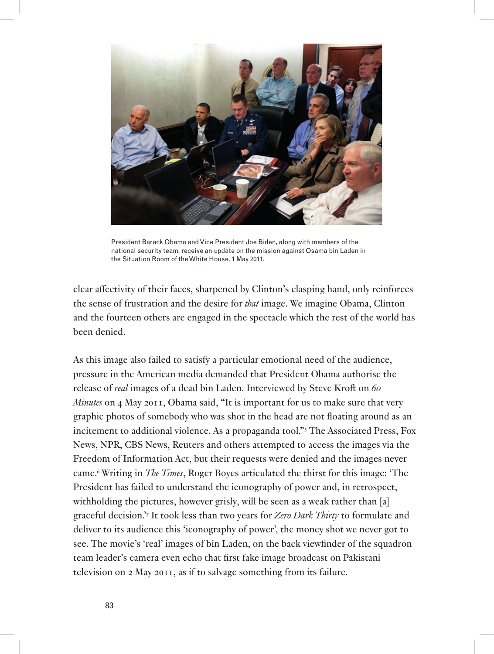

President Barack Obama and Vice President Joe Biden, along with members of the national security team, receive an update on the mission against Osama bin Laden in the Situation Room of the White House, 1 May 2011.

clear affectivity of their faces, sharpened by Clinton's clasping hand, only reinforces the sense of frustration and the desire for *that* image. We imagine Obama, Clinton and the fourteen others are engaged in the spectacle which the rest of the world has been denied.

As this image also failed to satisfy a particular emotional need of the audience, pressure in the American media demanded that President Obama authorise the release of *real* images of a dead bin Laden. Interviewed by Steve Kroft on *60 Minutes* on 4 May 2011, Obama said, "It is important for us to make sure that very graphic photos of somebody who was shot in the head are not floating around as an incitement to additional violence. As a propaganda tool."5 The Associated Press, Fox News, NPR, CBS News, Reuters and others attempted to access the images via the Freedom of Information Act, but their requests were denied and the images never came.6 Writing in *The Times*, Roger Boyes articulated the thirst for this image: 'The President has failed to understand the iconography of power and, in retrospect, withholding the pictures, however grisly, will be seen as a weak rather than [a] graceful decision.'7 It took less than two years for *Zero Dark Thirty* to formulate and deliver to its audience this 'iconography of power', the money shot we never got to see. The movie's 'real' images of bin Laden, on the back viewfinder of the squadron team leader's camera even echo that first fake image broadcast on Pakistani television on 2 May 2011, as if to salvage something from its failure.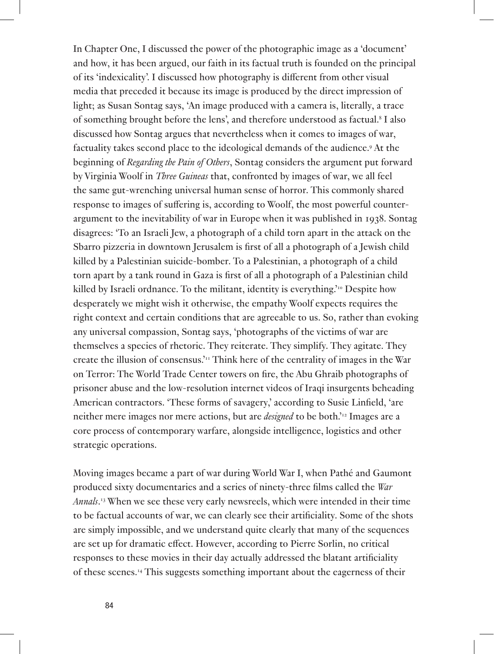In Chapter One, I discussed the power of the photographic image as a 'document' and how, it has been argued, our faith in its factual truth is founded on the principal of its 'indexicality'. I discussed how photography is different from other visual media that preceded it because its image is produced by the direct impression of light; as Susan Sontag says, 'An image produced with a camera is, literally, a trace of something brought before the lens', and therefore understood as factual.<sup>8</sup> I also discussed how Sontag argues that nevertheless when it comes to images of war, factuality takes second place to the ideological demands of the audience.<sup>9</sup> At the beginning of *Regarding the Pain of Others*, Sontag considers the argument put forward by Virginia Woolf in *Three Guineas* that, confronted by images of war, we all feel the same gut-wrenching universal human sense of horror. This commonly shared response to images of suffering is, according to Woolf, the most powerful counterargument to the inevitability of war in Europe when it was published in 1938. Sontag disagrees: 'To an Israeli Jew, a photograph of a child torn apart in the attack on the Sbarro pizzeria in downtown Jerusalem is first of all a photograph of a Jewish child killed by a Palestinian suicide-bomber. To a Palestinian, a photograph of a child torn apart by a tank round in Gaza is first of all a photograph of a Palestinian child killed by Israeli ordnance. To the militant, identity is everything.<sup>710</sup> Despite how desperately we might wish it otherwise, the empathy Woolf expects requires the right context and certain conditions that are agreeable to us. So, rather than evoking any universal compassion, Sontag says, 'photographs of the victims of war are themselves a species of rhetoric. They reiterate. They simplify. They agitate. They create the illusion of consensus.<sup>11</sup> Think here of the centrality of images in the War on Terror: The World Trade Center towers on fire, the Abu Ghraib photographs of prisoner abuse and the low-resolution internet videos of Iraqi insurgents beheading American contractors. 'These forms of savagery,' according to Susie Linfield, 'are neither mere images nor mere actions, but are *designed* to be both.'12 Images are a core process of contemporary warfare, alongside intelligence, logistics and other strategic operations.

Moving images became a part of war during World War I, when Pathé and Gaumont produced sixty documentaries and a series of ninety-three films called the *War Annals*. 13 When we see these very early newsreels, which were intended in their time to be factual accounts of war, we can clearly see their artificiality. Some of the shots are simply impossible, and we understand quite clearly that many of the sequences are set up for dramatic effect. However, according to Pierre Sorlin, no critical responses to these movies in their day actually addressed the blatant artificiality of these scenes.14 This suggests something important about the eagerness of their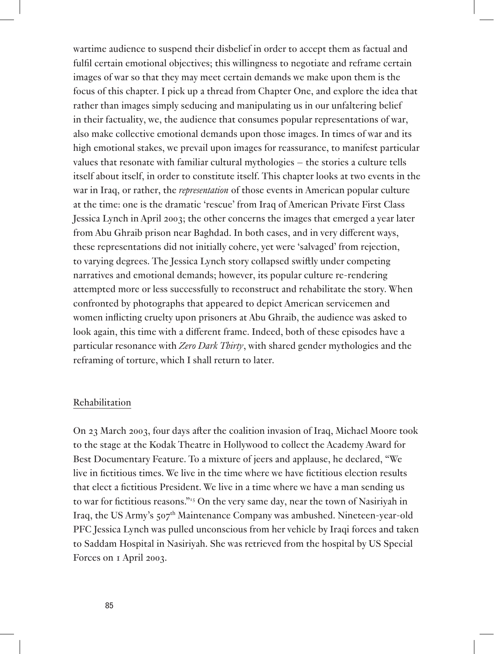wartime audience to suspend their disbelief in order to accept them as factual and fulfil certain emotional objectives; this willingness to negotiate and reframe certain images of war so that they may meet certain demands we make upon them is the focus of this chapter. I pick up a thread from Chapter One, and explore the idea that rather than images simply seducing and manipulating us in our unfaltering belief in their factuality, we, the audience that consumes popular representations of war, also make collective emotional demands upon those images. In times of war and its high emotional stakes, we prevail upon images for reassurance, to manifest particular values that resonate with familiar cultural mythologies – the stories a culture tells itself about itself, in order to constitute itself. This chapter looks at two events in the war in Iraq, or rather, the *representation* of those events in American popular culture at the time: one is the dramatic 'rescue' from Iraq of American Private First Class Jessica Lynch in April 2003; the other concerns the images that emerged a year later from Abu Ghraib prison near Baghdad. In both cases, and in very different ways, these representations did not initially cohere, yet were 'salvaged' from rejection, to varying degrees. The Jessica Lynch story collapsed swiftly under competing narratives and emotional demands; however, its popular culture re-rendering attempted more or less successfully to reconstruct and rehabilitate the story. When confronted by photographs that appeared to depict American servicemen and women inflicting cruelty upon prisoners at Abu Ghraib, the audience was asked to look again, this time with a different frame. Indeed, both of these episodes have a particular resonance with *Zero Dark Thirty*, with shared gender mythologies and the reframing of torture, which I shall return to later.

### Rehabilitation

On 23 March 2003, four days after the coalition invasion of Iraq, Michael Moore took to the stage at the Kodak Theatre in Hollywood to collect the Academy Award for Best Documentary Feature. To a mixture of jeers and applause, he declared, "We live in fictitious times. We live in the time where we have fictitious election results that elect a fictitious President. We live in a time where we have a man sending us to war for fictitious reasons."15 On the very same day, near the town of Nasiriyah in Iraq, the US Army's 507th Maintenance Company was ambushed. Nineteen-year-old PFC Jessica Lynch was pulled unconscious from her vehicle by Iraqi forces and taken to Saddam Hospital in Nasiriyah. She was retrieved from the hospital by US Special Forces on 1 April 2003.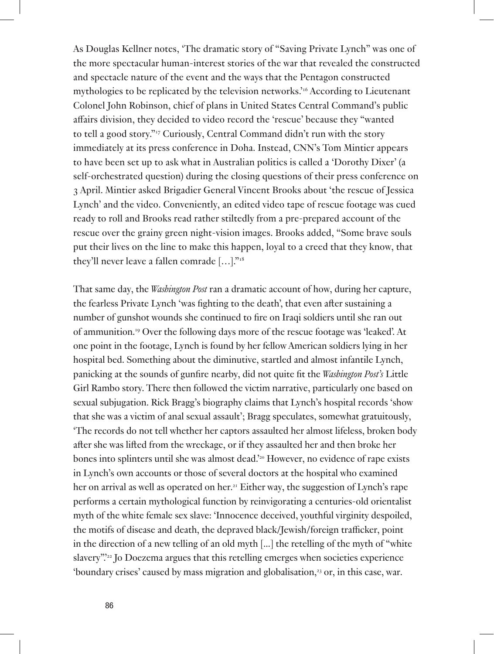As Douglas Kellner notes, 'The dramatic story of "Saving Private Lynch" was one of the more spectacular human-interest stories of the war that revealed the constructed and spectacle nature of the event and the ways that the Pentagon constructed mythologies to be replicated by the television networks.'16 According to Lieutenant Colonel John Robinson, chief of plans in United States Central Command's public affairs division, they decided to video record the 'rescue' because they "wanted to tell a good story."17 Curiously, Central Command didn't run with the story immediately at its press conference in Doha. Instead, CNN's Tom Mintier appears to have been set up to ask what in Australian politics is called a 'Dorothy Dixer' (a self-orchestrated question) during the closing questions of their press conference on 3 April. Mintier asked Brigadier General Vincent Brooks about 'the rescue of Jessica Lynch' and the video. Conveniently, an edited video tape of rescue footage was cued ready to roll and Brooks read rather stiltedly from a pre-prepared account of the rescue over the grainy green night-vision images. Brooks added, "Some brave souls put their lives on the line to make this happen, loyal to a creed that they know, that they'll never leave a fallen comrade […]."18

That same day, the *Washington Post* ran a dramatic account of how, during her capture, the fearless Private Lynch 'was fighting to the death', that even after sustaining a number of gunshot wounds she continued to fire on Iraqi soldiers until she ran out of ammunition.19 Over the following days more of the rescue footage was 'leaked'. At one point in the footage, Lynch is found by her fellow American soldiers lying in her hospital bed. Something about the diminutive, startled and almost infantile Lynch, panicking at the sounds of gunfire nearby, did not quite fit the *Washington Post's* Little Girl Rambo story. There then followed the victim narrative, particularly one based on sexual subjugation. Rick Bragg's biography claims that Lynch's hospital records 'show that she was a victim of anal sexual assault'; Bragg speculates, somewhat gratuitously, 'The records do not tell whether her captors assaulted her almost lifeless, broken body after she was lifted from the wreckage, or if they assaulted her and then broke her bones into splinters until she was almost dead.'20 However, no evidence of rape exists in Lynch's own accounts or those of several doctors at the hospital who examined her on arrival as well as operated on her.<sup>21</sup> Either way, the suggestion of Lynch's rape performs a certain mythological function by reinvigorating a centuries-old orientalist myth of the white female sex slave: 'Innocence deceived, youthful virginity despoiled, the motifs of disease and death, the depraved black/Jewish/foreign trafficker, point in the direction of a new telling of an old myth [...] the retelling of the myth of "white slavery".'22 Jo Doezema argues that this retelling emerges when societies experience 'boundary crises' caused by mass migration and globalisation,<sup>23</sup> or, in this case, war.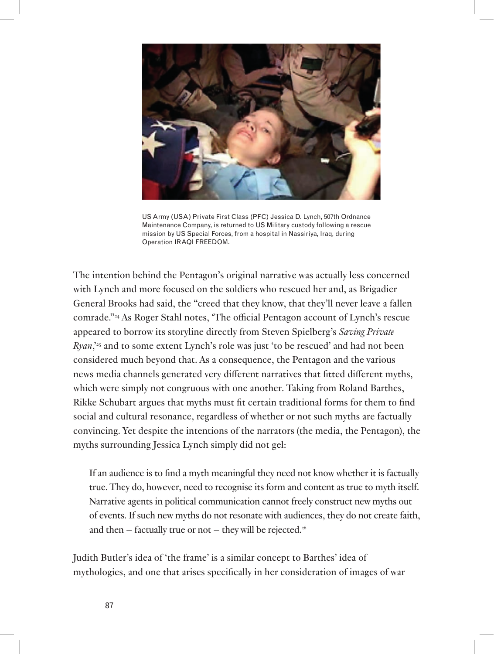

US Army (USA) Private First Class (PFC) Jessica D. Lynch, 507th Ordnance Maintenance Company, is returned to US Military custody following a rescue mission by US Special Forces, from a hospital in Nassiriya, Iraq, during Operation IRAQI FREEDOM.

The intention behind the Pentagon's original narrative was actually less concerned with Lynch and more focused on the soldiers who rescued her and, as Brigadier General Brooks had said, the "creed that they know, that they'll never leave a fallen comrade."24 As Roger Stahl notes, 'The official Pentagon account of Lynch's rescue appeared to borrow its storyline directly from Steven Spielberg's *Saving Private Ryan*,'25 and to some extent Lynch's role was just 'to be rescued' and had not been considered much beyond that. As a consequence, the Pentagon and the various news media channels generated very different narratives that fitted different myths, which were simply not congruous with one another. Taking from Roland Barthes, Rikke Schubart argues that myths must fit certain traditional forms for them to find social and cultural resonance, regardless of whether or not such myths are factually convincing. Yet despite the intentions of the narrators (the media, the Pentagon), the myths surrounding Jessica Lynch simply did not gel:

If an audience is to find a myth meaningful they need not know whether it is factually true. They do, however, need to recognise its form and content as true to myth itself. Narrative agents in political communication cannot freely construct new myths out of events. If such new myths do not resonate with audiences, they do not create faith, and then  $-$  factually true or not  $-$  they will be rejected.<sup>26</sup>

Judith Butler's idea of 'the frame' is a similar concept to Barthes' idea of mythologies, and one that arises specifically in her consideration of images of war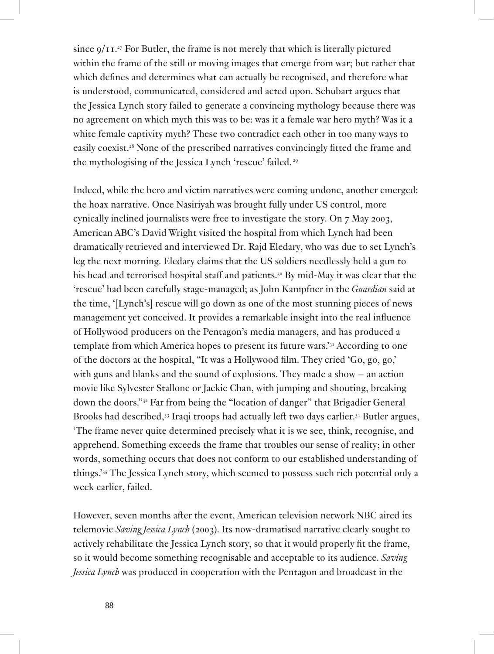since  $9/11.^{27}$  For Butler, the frame is not merely that which is literally pictured within the frame of the still or moving images that emerge from war; but rather that which defines and determines what can actually be recognised, and therefore what is understood, communicated, considered and acted upon. Schubart argues that the Jessica Lynch story failed to generate a convincing mythology because there was no agreement on which myth this was to be: was it a female war hero myth? Was it a white female captivity myth? These two contradict each other in too many ways to easily coexist.28 None of the prescribed narratives convincingly fitted the frame and the mythologising of the Jessica Lynch 'rescue' failed. 29

Indeed, while the hero and victim narratives were coming undone, another emerged: the hoax narrative. Once Nasiriyah was brought fully under US control, more cynically inclined journalists were free to investigate the story. On 7 May 2003, American ABC's David Wright visited the hospital from which Lynch had been dramatically retrieved and interviewed Dr. Rajd Eledary, who was due to set Lynch's leg the next morning. Eledary claims that the US soldiers needlessly held a gun to his head and terrorised hospital staff and patients.<sup>30</sup> By mid-May it was clear that the 'rescue' had been carefully stage-managed; as John Kampfner in the *Guardian* said at the time, '[Lynch's] rescue will go down as one of the most stunning pieces of news management yet conceived. It provides a remarkable insight into the real influence of Hollywood producers on the Pentagon's media managers, and has produced a template from which America hopes to present its future wars.'31 According to one of the doctors at the hospital, "It was a Hollywood film. They cried 'Go, go, go,' with guns and blanks and the sound of explosions. They made a show – an action movie like Sylvester Stallone or Jackie Chan, with jumping and shouting, breaking down the doors."32 Far from being the "location of danger" that Brigadier General Brooks had described,<sup>33</sup> Iraqi troops had actually left two days earlier.<sup>34</sup> Butler argues, 'The frame never quite determined precisely what it is we see, think, recognise, and apprehend. Something exceeds the frame that troubles our sense of reality; in other words, something occurs that does not conform to our established understanding of things.'35 The Jessica Lynch story, which seemed to possess such rich potential only a week earlier, failed.

However, seven months after the event, American television network NBC aired its telemovie *Saving Jessica Lynch* (2003). Its now-dramatised narrative clearly sought to actively rehabilitate the Jessica Lynch story, so that it would properly fit the frame, so it would become something recognisable and acceptable to its audience. *Saving Jessica Lynch* was produced in cooperation with the Pentagon and broadcast in the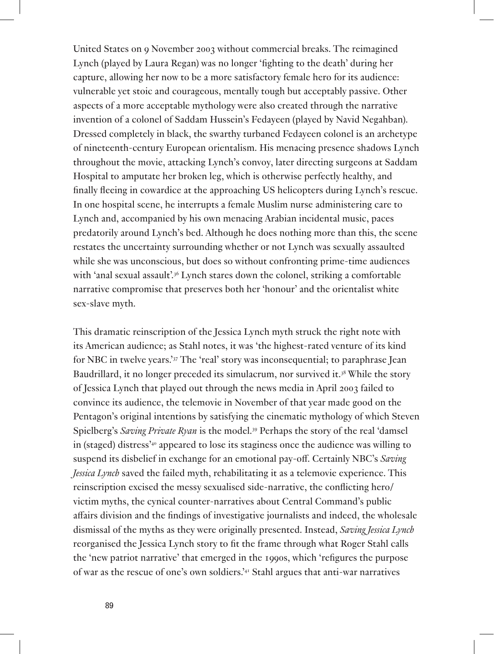United States on 9 November 2003 without commercial breaks. The reimagined Lynch (played by Laura Regan) was no longer 'fighting to the death' during her capture, allowing her now to be a more satisfactory female hero for its audience: vulnerable yet stoic and courageous, mentally tough but acceptably passive. Other aspects of a more acceptable mythology were also created through the narrative invention of a colonel of Saddam Hussein's Fedayeen (played by Navid Negahban). Dressed completely in black, the swarthy turbaned Fedayeen colonel is an archetype of nineteenth-century European orientalism. His menacing presence shadows Lynch throughout the movie, attacking Lynch's convoy, later directing surgeons at Saddam Hospital to amputate her broken leg, which is otherwise perfectly healthy, and finally fleeing in cowardice at the approaching US helicopters during Lynch's rescue. In one hospital scene, he interrupts a female Muslim nurse administering care to Lynch and, accompanied by his own menacing Arabian incidental music, paces predatorily around Lynch's bed. Although he does nothing more than this, the scene restates the uncertainty surrounding whether or not Lynch was sexually assaulted while she was unconscious, but does so without confronting prime-time audiences with 'anal sexual assault'.<sup>36</sup> Lynch stares down the colonel, striking a comfortable narrative compromise that preserves both her 'honour' and the orientalist white sex-slave myth.

This dramatic reinscription of the Jessica Lynch myth struck the right note with its American audience; as Stahl notes, it was 'the highest-rated venture of its kind for NBC in twelve years.'37 The 'real' story was inconsequential; to paraphrase Jean Baudrillard, it no longer preceded its simulacrum, nor survived it.38 While the story of Jessica Lynch that played out through the news media in April 2003 failed to convince its audience, the telemovie in November of that year made good on the Pentagon's original intentions by satisfying the cinematic mythology of which Steven Spielberg's *Saving Private Ryan* is the model.39 Perhaps the story of the real 'damsel in (staged) distress<sup>240</sup> appeared to lose its staginess once the audience was willing to suspend its disbelief in exchange for an emotional pay-off. Certainly NBC's *Saving Jessica Lynch* saved the failed myth, rehabilitating it as a telemovie experience. This reinscription excised the messy sexualised side-narrative, the conflicting hero/ victim myths, the cynical counter-narratives about Central Command's public affairs division and the findings of investigative journalists and indeed, the wholesale dismissal of the myths as they were originally presented. Instead, *Saving Jessica Lynch* reorganised the Jessica Lynch story to fit the frame through what Roger Stahl calls the 'new patriot narrative' that emerged in the 1990s, which 'refigures the purpose of war as the rescue of one's own soldiers.'41 Stahl argues that anti-war narratives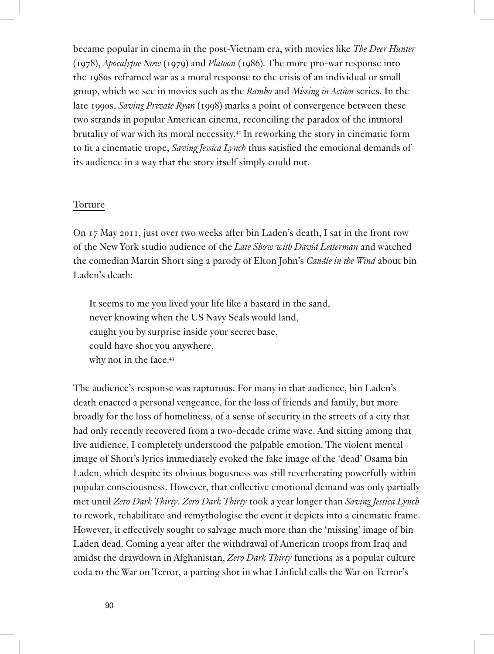became popular in cinema in the post-Vietnam era, with movies like *The Deer Hunter* (1978), *Apocalypse Now* (1979) and *Platoon* (1986). The more pro-war response into the 1980s reframed war as a moral response to the crisis of an individual or small group, which we see in movies such as the *Rambo* and *Missing in Action* series. In the late 1990s, *Saving Private Ryan* (1998) marks a point of convergence between these two strands in popular American cinema, reconciling the paradox of the immoral brutality of war with its moral necessity.42 In reworking the story in cinematic form to fit a cinematic trope, *Saving Jessica Lynch* thus satisfied the emotional demands of its audience in a way that the story itself simply could not.

# Torture

On 17 May 2011, just over two weeks after bin Laden's death, I sat in the front row of the New York studio audience of the *Late Show with David Letterman* and watched the comedian Martin Short sing a parody of Elton John's *Candle in the Wind* about bin Laden's death:

It seems to me you lived your life like a bastard in the sand, never knowing when the US Navy Seals would land, caught you by surprise inside your secret base, could have shot you anywhere, why not in the face.<sup>43</sup>

The audience's response was rapturous. For many in that audience, bin Laden's death enacted a personal vengeance, for the loss of friends and family, but more broadly for the loss of homeliness, of a sense of security in the streets of a city that had only recently recovered from a two-decade crime wave. And sitting among that live audience, I completely understood the palpable emotion. The violent mental image of Short's lyrics immediately evoked the fake image of the 'dead' Osama bin Laden, which despite its obvious bogusness was still reverberating powerfully within popular consciousness. However, that collective emotional demand was only partially met until *Zero Dark Thirty*. *Zero Dark Thirty* took a year longer than *Saving Jessica Lynch* to rework, rehabilitate and remythologise the event it depicts into a cinematic frame. However, it effectively sought to salvage much more than the 'missing' image of bin Laden dead. Coming a year after the withdrawal of American troops from Iraq and amidst the drawdown in Afghanistan, *Zero Dark Thirty* functions as a popular culture coda to the War on Terror, a parting shot in what Linfield calls the War on Terror's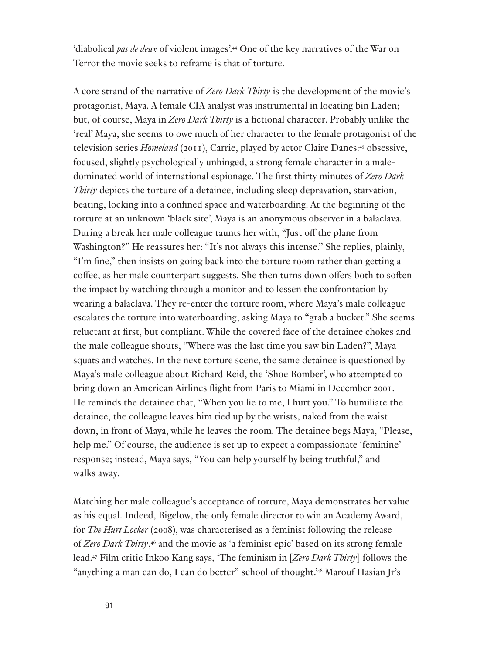'diabolical *pas de deux* of violent images'.44 One of the key narratives of the War on Terror the movie seeks to reframe is that of torture.

A core strand of the narrative of *Zero Dark Thirty* is the development of the movie's protagonist, Maya. A female CIA analyst was instrumental in locating bin Laden; but, of course, Maya in *Zero Dark Thirty* is a fictional character. Probably unlike the 'real' Maya, she seems to owe much of her character to the female protagonist of the television series *Homeland* (2011), Carrie, played by actor Claire Danes:45 obsessive, focused, slightly psychologically unhinged, a strong female character in a maledominated world of international espionage. The first thirty minutes of *Zero Dark Thirty* depicts the torture of a detainee, including sleep depravation, starvation, beating, locking into a confined space and waterboarding. At the beginning of the torture at an unknown 'black site', Maya is an anonymous observer in a balaclava. During a break her male colleague taunts her with, "Just off the plane from Washington?" He reassures her: "It's not always this intense." She replies, plainly, "I'm fine," then insists on going back into the torture room rather than getting a coffee, as her male counterpart suggests. She then turns down offers both to soften the impact by watching through a monitor and to lessen the confrontation by wearing a balaclava. They re-enter the torture room, where Maya's male colleague escalates the torture into waterboarding, asking Maya to "grab a bucket." She seems reluctant at first, but compliant. While the covered face of the detainee chokes and the male colleague shouts, "Where was the last time you saw bin Laden?", Maya squats and watches. In the next torture scene, the same detainee is questioned by Maya's male colleague about Richard Reid, the 'Shoe Bomber', who attempted to bring down an American Airlines flight from Paris to Miami in December 2001. He reminds the detainee that, "When you lie to me, I hurt you." To humiliate the detainee, the colleague leaves him tied up by the wrists, naked from the waist down, in front of Maya, while he leaves the room. The detainee begs Maya, "Please, help me." Of course, the audience is set up to expect a compassionate 'feminine' response; instead, Maya says, "You can help yourself by being truthful," and walks away.

Matching her male colleague's acceptance of torture, Maya demonstrates her value as his equal. Indeed, Bigelow, the only female director to win an Academy Award, for *The Hurt Locker* (2008), was characterised as a feminist following the release of *Zero Dark Thirty*, 46 and the movie as 'a feminist epic' based on its strong female lead.47 Film critic Inkoo Kang says, 'The feminism in [*Zero Dark Thirty*] follows the "anything a man can do, I can do better" school of thought.'48 Marouf Hasian Jr's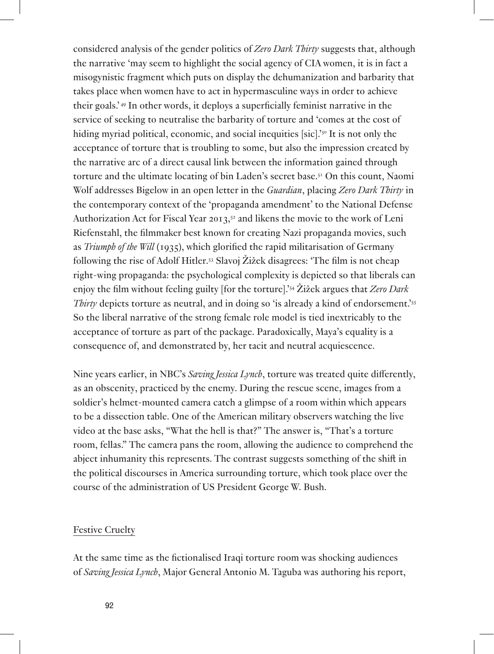considered analysis of the gender politics of *Zero Dark Thirty* suggests that, although the narrative 'may seem to highlight the social agency of CIA women, it is in fact a misogynistic fragment which puts on display the dehumanization and barbarity that takes place when women have to act in hypermasculine ways in order to achieve their goals.' 49 In other words, it deploys a superficially feminist narrative in the service of seeking to neutralise the barbarity of torture and 'comes at the cost of hiding myriad political, economic, and social inequities [sic].<sup>'50</sup> It is not only the acceptance of torture that is troubling to some, but also the impression created by the narrative arc of a direct causal link between the information gained through torture and the ultimate locating of bin Laden's secret base.51 On this count, Naomi Wolf addresses Bigelow in an open letter in the *Guardian*, placing *Zero Dark Thirty* in the contemporary context of the 'propaganda amendment' to the National Defense Authorization Act for Fiscal Year 2013,52 and likens the movie to the work of Leni Riefenstahl, the filmmaker best known for creating Nazi propaganda movies, such as *Triumph of the Will* (1935), which glorified the rapid militarisation of Germany following the rise of Adolf Hitler.53 Slavoj Žižek disagrees: 'The film is not cheap right-wing propaganda: the psychological complexity is depicted so that liberals can enjoy the film without feeling guilty [for the torture].'54 Žižek argues that *Zero Dark Thirty* depicts torture as neutral, and in doing so 'is already a kind of endorsement.'<sup>55</sup> So the liberal narrative of the strong female role model is tied inextricably to the acceptance of torture as part of the package. Paradoxically, Maya's equality is a consequence of, and demonstrated by, her tacit and neutral acquiescence.

Nine years earlier, in NBC's *Saving Jessica Lynch*, torture was treated quite differently, as an obscenity, practiced by the enemy. During the rescue scene, images from a soldier's helmet-mounted camera catch a glimpse of a room within which appears to be a dissection table. One of the American military observers watching the live video at the base asks, "What the hell is that?" The answer is, "That's a torture room, fellas." The camera pans the room, allowing the audience to comprehend the abject inhumanity this represents. The contrast suggests something of the shift in the political discourses in America surrounding torture, which took place over the course of the administration of US President George W. Bush.

#### Festive Cruelty

At the same time as the fictionalised Iraqi torture room was shocking audiences of *Saving Jessica Lynch*, Major General Antonio M. Taguba was authoring his report,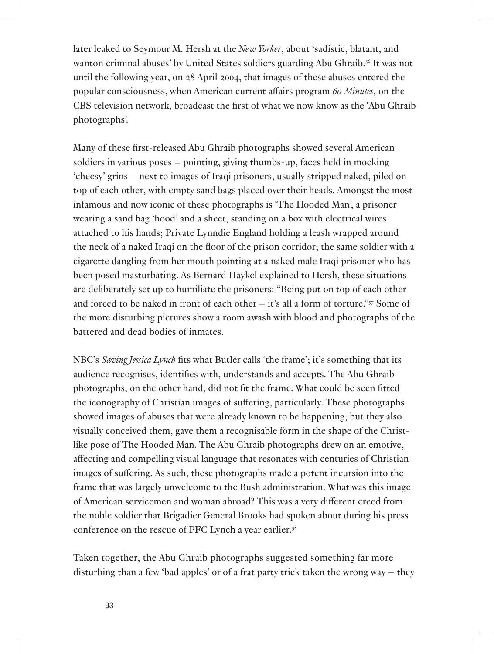later leaked to Seymour M. Hersh at the *New Yorker*, about 'sadistic, blatant, and wanton criminal abuses' by United States soldiers guarding Abu Ghraib.56 It was not until the following year, on 28 April 2004, that images of these abuses entered the popular consciousness, when American current affairs program *60 Minutes*, on the CBS television network, broadcast the first of what we now know as the 'Abu Ghraib photographs'.

Many of these first-released Abu Ghraib photographs showed several American soldiers in various poses – pointing, giving thumbs-up, faces held in mocking 'cheesy' grins – next to images of Iraqi prisoners, usually stripped naked, piled on top of each other, with empty sand bags placed over their heads. Amongst the most infamous and now iconic of these photographs is 'The Hooded Man', a prisoner wearing a sand bag 'hood' and a sheet, standing on a box with electrical wires attached to his hands; Private Lynndie England holding a leash wrapped around the neck of a naked Iraqi on the floor of the prison corridor; the same soldier with a cigarette dangling from her mouth pointing at a naked male Iraqi prisoner who has been posed masturbating. As Bernard Haykel explained to Hersh, these situations are deliberately set up to humiliate the prisoners: "Being put on top of each other and forced to be naked in front of each other – it's all a form of torture." $57$  Some of the more disturbing pictures show a room awash with blood and photographs of the battered and dead bodies of inmates.

NBC's *Saving Jessica Lynch* fits what Butler calls 'the frame'; it's something that its audience recognises, identifies with, understands and accepts. The Abu Ghraib photographs, on the other hand, did not fit the frame. What could be seen fitted the iconography of Christian images of suffering, particularly. These photographs showed images of abuses that were already known to be happening; but they also visually conceived them, gave them a recognisable form in the shape of the Christlike pose of The Hooded Man. The Abu Ghraib photographs drew on an emotive, affecting and compelling visual language that resonates with centuries of Christian images of suffering. As such, these photographs made a potent incursion into the frame that was largely unwelcome to the Bush administration. What was this image of American servicemen and woman abroad? This was a very different creed from the noble soldier that Brigadier General Brooks had spoken about during his press conference on the rescue of PFC Lynch a year earlier.58

Taken together, the Abu Ghraib photographs suggested something far more disturbing than a few 'bad apples' or of a frat party trick taken the wrong way – they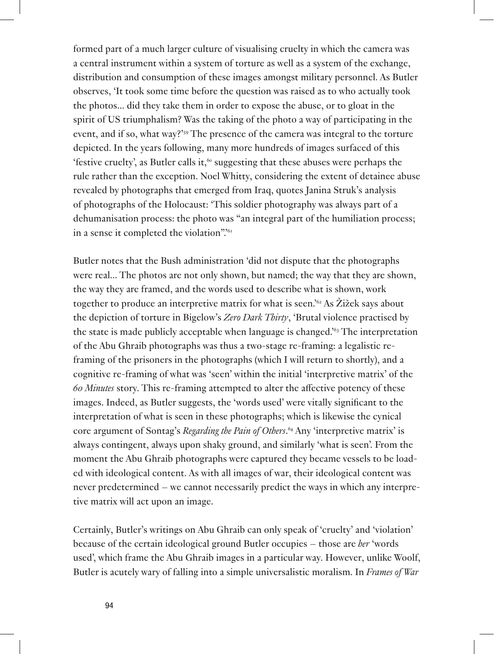formed part of a much larger culture of visualising cruelty in which the camera was a central instrument within a system of torture as well as a system of the exchange, distribution and consumption of these images amongst military personnel. As Butler observes, 'It took some time before the question was raised as to who actually took the photos... did they take them in order to expose the abuse, or to gloat in the spirit of US triumphalism? Was the taking of the photo a way of participating in the event, and if so, what way?<sup>'59</sup> The presence of the camera was integral to the torture depicted. In the years following, many more hundreds of images surfaced of this 'festive cruelty', as Butler calls it, $\frac{60}{10}$  suggesting that these abuses were perhaps the rule rather than the exception. Noel Whitty, considering the extent of detainee abuse revealed by photographs that emerged from Iraq, quotes Janina Struk's analysis of photographs of the Holocaust: 'This soldier photography was always part of a dehumanisation process: the photo was "an integral part of the humiliation process; in a sense it completed the violation".<sup>61</sup>

Butler notes that the Bush administration 'did not dispute that the photographs were real... The photos are not only shown, but named; the way that they are shown, the way they are framed, and the words used to describe what is shown, work together to produce an interpretive matrix for what is seen.<sup>162</sup> As Žižek says about the depiction of torture in Bigelow's *Zero Dark Thirty*, 'Brutal violence practised by the state is made publicly acceptable when language is changed.'63 The interpretation of the Abu Ghraib photographs was thus a two-stage re-framing: a legalistic reframing of the prisoners in the photographs (which I will return to shortly), and a cognitive re-framing of what was 'seen' within the initial 'interpretive matrix' of the *60 Minutes* story. This re-framing attempted to alter the affective potency of these images. Indeed, as Butler suggests, the 'words used' were vitally significant to the interpretation of what is seen in these photographs; which is likewise the cynical core argument of Sontag's *Regarding the Pain of Others*. 64 Any 'interpretive matrix' is always contingent, always upon shaky ground, and similarly 'what is seen'. From the moment the Abu Ghraib photographs were captured they became vessels to be loaded with ideological content. As with all images of war, their ideological content was never predetermined – we cannot necessarily predict the ways in which any interpretive matrix will act upon an image.

Certainly, Butler's writings on Abu Ghraib can only speak of 'cruelty' and 'violation' because of the certain ideological ground Butler occupies – those are *her* 'words used', which frame the Abu Ghraib images in a particular way. However, unlike Woolf, Butler is acutely wary of falling into a simple universalistic moralism. In *Frames of War*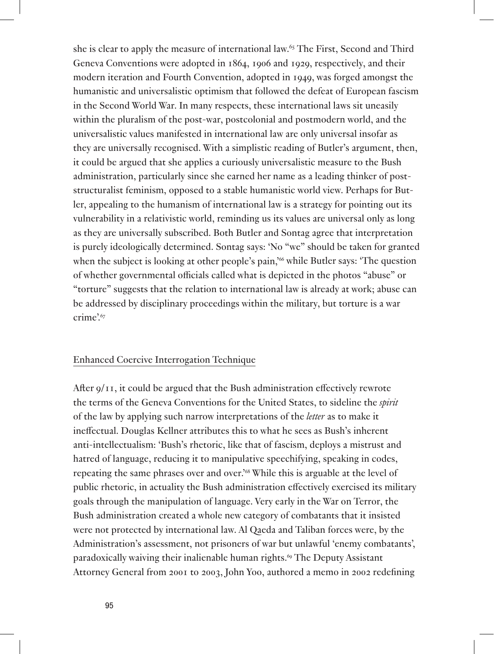she is clear to apply the measure of international law.65 The First, Second and Third Geneva Conventions were adopted in 1864, 1906 and 1929, respectively, and their modern iteration and Fourth Convention, adopted in 1949, was forged amongst the humanistic and universalistic optimism that followed the defeat of European fascism in the Second World War. In many respects, these international laws sit uneasily within the pluralism of the post-war, postcolonial and postmodern world, and the universalistic values manifested in international law are only universal insofar as they are universally recognised. With a simplistic reading of Butler's argument, then, it could be argued that she applies a curiously universalistic measure to the Bush administration, particularly since she earned her name as a leading thinker of poststructuralist feminism, opposed to a stable humanistic world view. Perhaps for Butler, appealing to the humanism of international law is a strategy for pointing out its vulnerability in a relativistic world, reminding us its values are universal only as long as they are universally subscribed. Both Butler and Sontag agree that interpretation is purely ideologically determined. Sontag says: 'No "we" should be taken for granted when the subject is looking at other people's pain,<sup>'66</sup> while Butler says: 'The question of whether governmental officials called what is depicted in the photos "abuse" or "torture" suggests that the relation to international law is already at work; abuse can be addressed by disciplinary proceedings within the military, but torture is a war crime'.<sup>67</sup>

## Enhanced Coercive Interrogation Technique

After 9/11, it could be argued that the Bush administration effectively rewrote the terms of the Geneva Conventions for the United States, to sideline the *spirit* of the law by applying such narrow interpretations of the *letter* as to make it ineffectual. Douglas Kellner attributes this to what he sees as Bush's inherent anti-intellectualism: 'Bush's rhetoric, like that of fascism, deploys a mistrust and hatred of language, reducing it to manipulative speechifying, speaking in codes, repeating the same phrases over and over.'68 While this is arguable at the level of public rhetoric, in actuality the Bush administration effectively exercised its military goals through the manipulation of language. Very early in the War on Terror, the Bush administration created a whole new category of combatants that it insisted were not protected by international law. Al Qaeda and Taliban forces were, by the Administration's assessment, not prisoners of war but unlawful 'enemy combatants', paradoxically waiving their inalienable human rights.69 The Deputy Assistant Attorney General from 2001 to 2003, John Yoo, authored a memo in 2002 redefining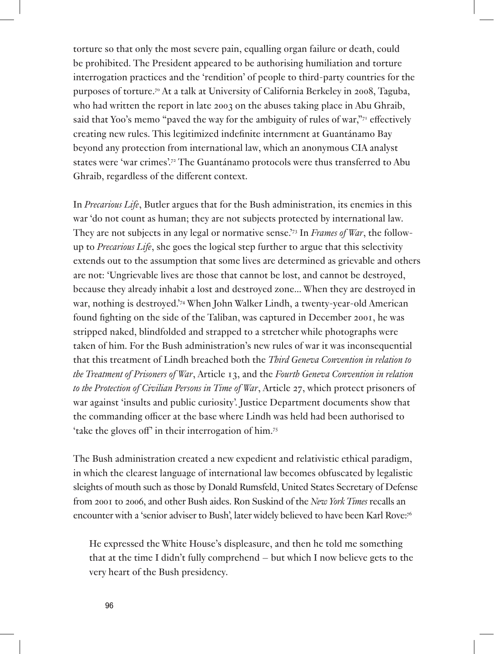torture so that only the most severe pain, equalling organ failure or death, could be prohibited. The President appeared to be authorising humiliation and torture interrogation practices and the 'rendition' of people to third-party countries for the purposes of torture.70 At a talk at University of California Berkeley in 2008, Taguba, who had written the report in late 2003 on the abuses taking place in Abu Ghraib, said that Yoo's memo "paved the way for the ambiguity of rules of war,"<sup>71</sup> effectively creating new rules. This legitimized indefinite internment at Guantánamo Bay beyond any protection from international law, which an anonymous CIA analyst states were 'war crimes'.72 The Guantánamo protocols were thus transferred to Abu Ghraib, regardless of the different context.

In *Precarious Life*, Butler argues that for the Bush administration, its enemies in this war 'do not count as human; they are not subjects protected by international law. They are not subjects in any legal or normative sense.'73 In *Frames of War*, the followup to *Precarious Life*, she goes the logical step further to argue that this selectivity extends out to the assumption that some lives are determined as grievable and others are not: 'Ungrievable lives are those that cannot be lost, and cannot be destroyed, because they already inhabit a lost and destroyed zone... When they are destroyed in war, nothing is destroyed.'74 When John Walker Lindh, a twenty-year-old American found fighting on the side of the Taliban, was captured in December 2001, he was stripped naked, blindfolded and strapped to a stretcher while photographs were taken of him. For the Bush administration's new rules of war it was inconsequential that this treatment of Lindh breached both the *Third Geneva Convention in relation to the Treatment of Prisoners of War*, Article 13, and the *Fourth Geneva Convention in relation to the Protection of Civilian Persons in Time of War*, Article 27, which protect prisoners of war against 'insults and public curiosity'. Justice Department documents show that the commanding officer at the base where Lindh was held had been authorised to 'take the gloves off' in their interrogation of him.75

The Bush administration created a new expedient and relativistic ethical paradigm, in which the clearest language of international law becomes obfuscated by legalistic sleights of mouth such as those by Donald Rumsfeld, United States Secretary of Defense from 2001 to 2006, and other Bush aides. Ron Suskind of the *New York Times* recalls an encounter with a 'senior adviser to Bush', later widely believed to have been Karl Rove:76

He expressed the White House's displeasure, and then he told me something that at the time I didn't fully comprehend – but which I now believe gets to the very heart of the Bush presidency.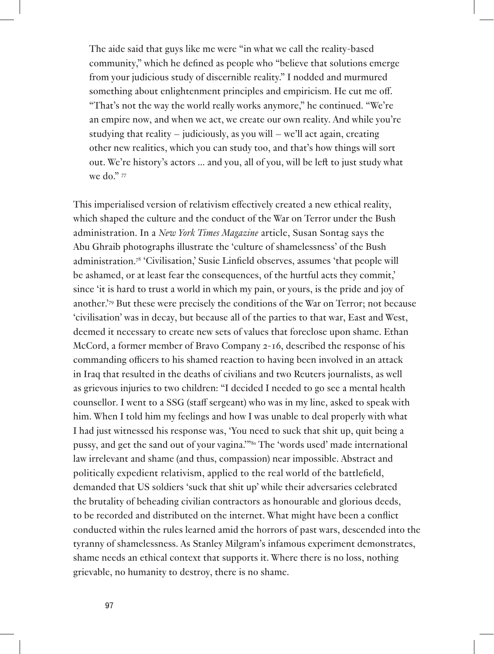The aide said that guys like me were "in what we call the reality-based community," which he defined as people who "believe that solutions emerge from your judicious study of discernible reality." I nodded and murmured something about enlightenment principles and empiricism. He cut me off. "That's not the way the world really works anymore," he continued. "We're an empire now, and when we act, we create our own reality. And while you're studying that reality – judiciously, as you will – we'll act again, creating other new realities, which you can study too, and that's how things will sort out. We're history's actors ... and you, all of you, will be left to just study what we do." 77

This imperialised version of relativism effectively created a new ethical reality, which shaped the culture and the conduct of the War on Terror under the Bush administration. In a *New York Times Magazine* article, Susan Sontag says the Abu Ghraib photographs illustrate the 'culture of shamelessness' of the Bush administration.78 'Civilisation,' Susie Linfield observes, assumes 'that people will be ashamed, or at least fear the consequences, of the hurtful acts they commit,' since 'it is hard to trust a world in which my pain, or yours, is the pride and joy of another.'79 But these were precisely the conditions of the War on Terror; not because 'civilisation' was in decay, but because all of the parties to that war, East and West, deemed it necessary to create new sets of values that foreclose upon shame. Ethan McCord, a former member of Bravo Company 2-16, described the response of his commanding officers to his shamed reaction to having been involved in an attack in Iraq that resulted in the deaths of civilians and two Reuters journalists, as well as grievous injuries to two children: "I decided I needed to go see a mental health counsellor. I went to a SSG (staff sergeant) who was in my line, asked to speak with him. When I told him my feelings and how I was unable to deal properly with what I had just witnessed his response was, 'You need to suck that shit up, quit being a pussy, and get the sand out of your vagina.'"80 The 'words used' made international law irrelevant and shame (and thus, compassion) near impossible. Abstract and politically expedient relativism, applied to the real world of the battlefield, demanded that US soldiers 'suck that shit up' while their adversaries celebrated the brutality of beheading civilian contractors as honourable and glorious deeds, to be recorded and distributed on the internet. What might have been a conflict conducted within the rules learned amid the horrors of past wars, descended into the tyranny of shamelessness. As Stanley Milgram's infamous experiment demonstrates, shame needs an ethical context that supports it. Where there is no loss, nothing grievable, no humanity to destroy, there is no shame.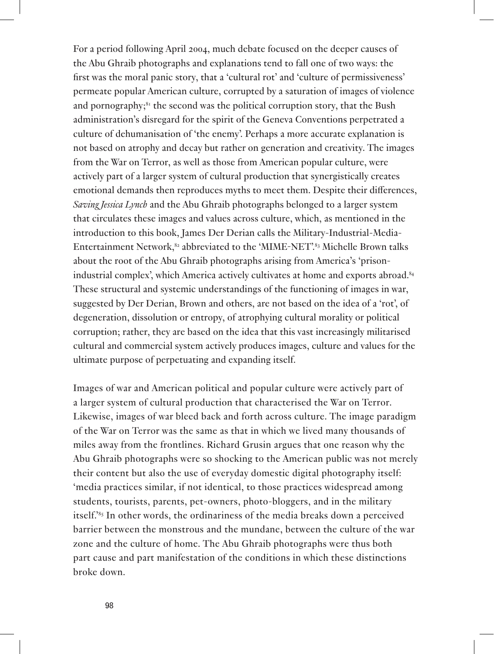For a period following April 2004, much debate focused on the deeper causes of the Abu Ghraib photographs and explanations tend to fall one of two ways: the first was the moral panic story, that a 'cultural rot' and 'culture of permissiveness' permeate popular American culture, corrupted by a saturation of images of violence and pornography;<sup>81</sup> the second was the political corruption story, that the Bush administration's disregard for the spirit of the Geneva Conventions perpetrated a culture of dehumanisation of 'the enemy'. Perhaps a more accurate explanation is not based on atrophy and decay but rather on generation and creativity. The images from the War on Terror, as well as those from American popular culture, were actively part of a larger system of cultural production that synergistically creates emotional demands then reproduces myths to meet them. Despite their differences, *Saving Jessica Lynch* and the Abu Ghraib photographs belonged to a larger system that circulates these images and values across culture, which, as mentioned in the introduction to this book, James Der Derian calls the Military-Industrial-Media-Entertainment Network,<sup>82</sup> abbreviated to the 'MIME-NET'.<sup>83</sup> Michelle Brown talks about the root of the Abu Ghraib photographs arising from America's 'prisonindustrial complex', which America actively cultivates at home and exports abroad.<sup>84</sup> These structural and systemic understandings of the functioning of images in war, suggested by Der Derian, Brown and others, are not based on the idea of a 'rot', of degeneration, dissolution or entropy, of atrophying cultural morality or political corruption; rather, they are based on the idea that this vast increasingly militarised cultural and commercial system actively produces images, culture and values for the ultimate purpose of perpetuating and expanding itself.

Images of war and American political and popular culture were actively part of a larger system of cultural production that characterised the War on Terror. Likewise, images of war bleed back and forth across culture. The image paradigm of the War on Terror was the same as that in which we lived many thousands of miles away from the frontlines. Richard Grusin argues that one reason why the Abu Ghraib photographs were so shocking to the American public was not merely their content but also the use of everyday domestic digital photography itself: 'media practices similar, if not identical, to those practices widespread among students, tourists, parents, pet-owners, photo-bloggers, and in the military itself.'85 In other words, the ordinariness of the media breaks down a perceived barrier between the monstrous and the mundane, between the culture of the war zone and the culture of home. The Abu Ghraib photographs were thus both part cause and part manifestation of the conditions in which these distinctions broke down.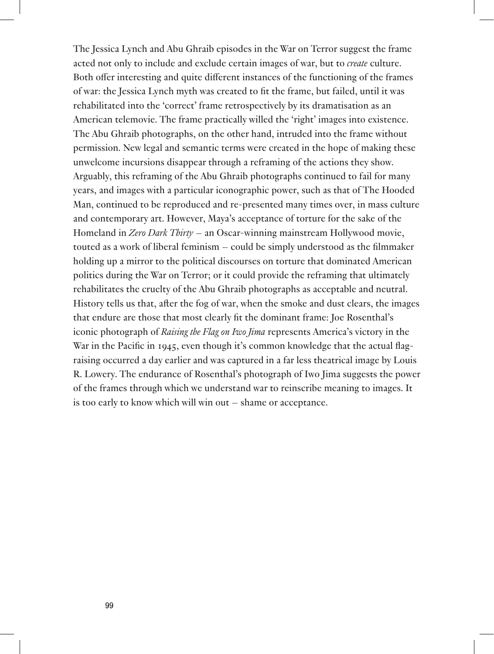The Jessica Lynch and Abu Ghraib episodes in the War on Terror suggest the frame acted not only to include and exclude certain images of war, but to *create* culture. Both offer interesting and quite different instances of the functioning of the frames of war: the Jessica Lynch myth was created to fit the frame, but failed, until it was rehabilitated into the 'correct' frame retrospectively by its dramatisation as an American telemovie. The frame practically willed the 'right' images into existence. The Abu Ghraib photographs, on the other hand, intruded into the frame without permission. New legal and semantic terms were created in the hope of making these unwelcome incursions disappear through a reframing of the actions they show. Arguably, this reframing of the Abu Ghraib photographs continued to fail for many years, and images with a particular iconographic power, such as that of The Hooded Man, continued to be reproduced and re-presented many times over, in mass culture and contemporary art. However, Maya's acceptance of torture for the sake of the Homeland in *Zero Dark Thirty* – an Oscar-winning mainstream Hollywood movie, touted as a work of liberal feminism – could be simply understood as the filmmaker holding up a mirror to the political discourses on torture that dominated American politics during the War on Terror; or it could provide the reframing that ultimately rehabilitates the cruelty of the Abu Ghraib photographs as acceptable and neutral. History tells us that, after the fog of war, when the smoke and dust clears, the images that endure are those that most clearly fit the dominant frame: Joe Rosenthal's iconic photograph of *Raising the Flag on Iwo Jima* represents America's victory in the War in the Pacific in 1945, even though it's common knowledge that the actual flagraising occurred a day earlier and was captured in a far less theatrical image by Louis R. Lowery. The endurance of Rosenthal's photograph of Iwo Jima suggests the power of the frames through which we understand war to reinscribe meaning to images. It is too early to know which will win out – shame or acceptance.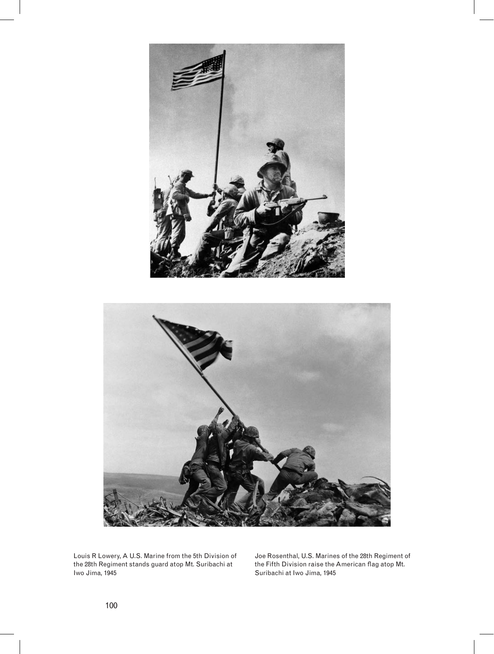

Louis R Lowery, A U.S. Marine from the 5th Division of the 28th Regiment stands guard atop Mt. Suribachi at Iwo Jima, 1945

Joe Rosenthal, U.S. Marines of the 28th Regiment of the Fifth Division raise the American flag atop Mt. Suribachi at Iwo Jima, 1945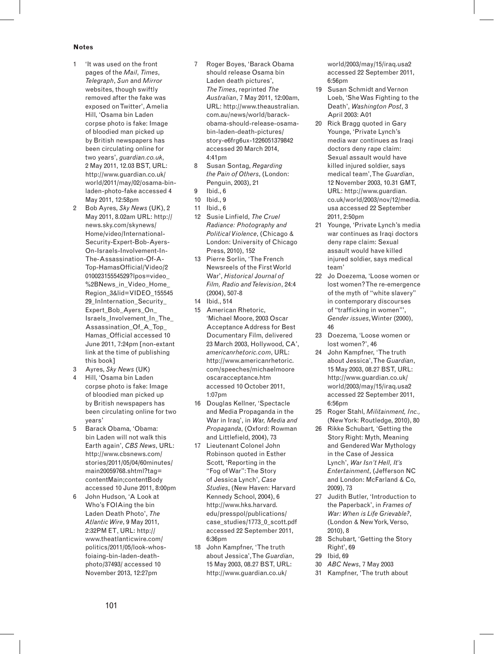#### **Notes**

- 1 'It was used on the front pages of the *Mail*, *Times*, *Telegraph*, *Sun* and *Mirror* websites, though swiftly removed after the fake was exposed on Twitter', Amelia Hill, 'Osama bin Laden corpse photo is fake: Image of bloodied man picked up by British newspapers has been circulating online for two years', *guardian.co.uk*, 2 May 2011, 12.03 BST, URL: http://www.guardian.co.uk/ world/2011/may/02/osama-binladen-photo-fake accessed 4 May 2011, 12:58pm
- 2 Bob Ayres, *Sky News* (UK), 2 May 2011, 8.02am URL: http:// news.sky.com/skynews/ Home/video/International-Security-Expert-Bob-Ayers-On-Israels-Involvement-In-The-Assassination-Of-A-Top-HamasOfficial/Video/2 01002315554529?lpos=video\_ %2BNews\_in\_Video\_Home Region\_3&lid=VIDEO\_155545 29 InInternation Security Expert\_Bob\_Ayers\_On Israels\_Involvement\_In\_The\_ Assassination Of A Top Hamas\_Official accessed 10 June 2011, 7:24pm [non-extant link at the time of publishing this book]
- 3 Ayres, *Sky News* (UK)
- 4 Hill, 'Osama bin Laden corpse photo is fake: Image of bloodied man picked up by British newspapers has been circulating online for two years'
- 5 Barack Obama, 'Obama: bin Laden will not walk this Earth again', *CBS News*, URL: http://www.cbsnews.com/ stories/2011/05/04/60minutes/ main20059768.shtml?tag= contentMain;contentBody accessed 10 June 2011, 8:00pm
- 6 John Hudson, 'A Look at Who's FOIAing the bin Laden Death Photo', *The Atlantic Wire*, 9 May 2011, 2:32PM ET, URL: http:// www.theatlanticwire.com/ politics/2011/05/look-whosfoiaing-bin-laden-deathphoto/37493/ accessed 10 November 2013, 12:27pm
- 7 Roger Boyes, 'Barack Obama should release Osama bin Laden death pictures', *The Times*, reprinted *The Australian*, 7 May 2011, 12:00am, URL: http://www.theaustralian. com.au/news/world/barackobama-should-release-osamabin-laden-death-pictures/ story-e6frg6ux-1226051379842 accessed 20 March 2014, 4:41pm
- 8 Susan Sontag, *Regarding the Pain of Others*, (London: Penguin, 2003), 21
- 9 Ibid., 6
- 10 Ibid., 9
- 11 Ibid., 6
- 12 Susie Linfield, *The Cruel Radiance: Photography and Political Violence*, (Chicago & London: University of Chicago Press, 2010), 152
- 13 Pierre Sorlin, 'The French Newsreels of the First World War', *Historical Journal of Film, Radio and Television*, 24:4 (2004), 507-8
- 14 Ibid., 514
- 15 American Rhetoric, 'Michael Moore, 2003 Oscar Acceptance Address for Best Documentary Film, delivered 23 March 2003, Hollywood, CA', *americanrhetoric.com*, URL: http://www.americanrhetoric. com/speeches/michaelmoore oscaracceptance.htm accessed 10 October 2011,  $1:07nm$
- 16 Douglas Kellner, 'Spectacle and Media Propaganda in the War in Iraq', in *War, Media and Propaganda*, (Oxford: Rowman and Littlefield, 2004), 73
- 17 Lieutenant Colonel John Robinson quoted in Esther Scott, 'Reporting in the "Fog of War": The Story of Jessica Lynch', *Case Studies*, (New Haven: Harvard Kennedy School, 2004), 6 http://www.hks.harvard. edu/presspol/publications/ case\_studies/1773\_0\_scott.pdf accessed 22 September 2011, 6:36pm
- 18 John Kampfner, 'The truth about Jessica', The *Guardian*, 15 May 2003, 08.27 BST, URL: http://www.guardian.co.uk/

world/2003/may/15/iraq.usa2 accessed 22 September 2011, 6:56pm

- 19 Susan Schmidt and Vernon Loeb, 'She Was Fighting to the Death', *Washington Post*, 3 April 2003: A01
- 20 Rick Bragg quoted in Gary Younge, 'Private Lynch's media war continues as Iraqi doctors deny rape claim: Sexual assault would have killed injured soldier, says medical team', The *Guardian*, 12 November 2003, 10.31 GMT, URL: http://www.guardian. co.uk/world/2003/nov/12/media. usa accessed 22 September 2011, 2:50pm
- 21 Younge, 'Private Lynch's media war continues as Iraqi doctors deny rape claim: Sexual assault would have killed injured soldier, says medical team'
- 22 Jo Doezema, 'Loose women or lost women? The re-emergence of the myth of "white slavery" in contemporary discourses of "trafficking in women"', *Gender issues*, Winter (2000), 46
- 23 Doezema, 'Loose women or lost women?', 46
- 24 John Kampfner, 'The truth about Jessica', The *Guardian*, 15 May 2003, 08.27 BST, URL: http://www.guardian.co.uk/ world/2003/may/15/iraq.usa2 accessed 22 September 2011, 6:56pm
- 25 Roger Stahl, *Militainment, Inc.,* (New York: Routledge, 2010), 80
- 26 Rikke Schubart, 'Getting the Story Right: Myth, Meaning and Gendered War Mythology in the Case of Jessica Lynch', *War Isn't Hell, It's Entertainment*, (Jefferson NC and London: McFarland & Co, 2009), 73
- 27 Judith Butler, 'Introduction to the Paperback', in *Frames of War: When is Life Grievable?*, (London & New York, Verso, 2010), 8
- 28 Schubart, 'Getting the Story Right', 69
- 29 Ibid, 69
- 30 *ABC News*, 7 May 2003
- 31 Kampfner, 'The truth about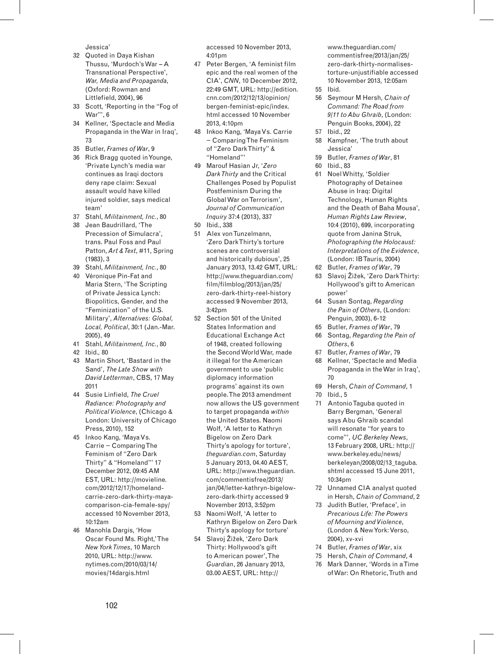Jessica'

- 32 Quoted in Daya Kishan Thussu, 'Murdoch's War – A Transnational Perspective', *War, Media and Propaganda*, (Oxford: Rowman and Littlefield, 2004), 96
- 33 Scott, 'Reporting in the "Fog of War"', 6
- 34 Kellner, 'Spectacle and Media Propaganda in the War in Iraq', 73
- 35 Butler, *Frames of War*, 9
- 36 Rick Bragg quoted in Younge, 'Private Lynch's media war continues as Iraqi doctors deny rape claim: Sexual assault would have killed injured soldier, says medical team'
- 37 Stahl, *Militainment, Inc.*, 80
- 38 Jean Baudrillard, 'The Precession of Simulacra', trans. Paul Foss and Paul Patton, *Art & Text*, #11, Spring (1983), 3
- 39 Stahl, *Militainment, Inc.*, 80
- 40 Véronique Pin-Fat and Maria Stern, 'The Scripting of Private Jessica Lynch: Biopolitics, Gender, and the "Feminization" of the U.S. Military', *Alternatives: Global, Local, Political*, 30:1 (Jan.-Mar. 2005), 49
- 41 Stahl, *Militainment, Inc.*, 80
- 42 Ibid.*,* 80
- 43 Martin Short, 'Bastard in the Sand', *The Late Show with David Letterman*, CBS, 17 May 2011
- 44 Susie Linfield, *The Cruel Radiance: Photography and Political Violence*, (Chicago & London: University of Chicago Press, 2010), 152
- 45 Inkoo Kang, 'Maya Vs. Carrie − Comparing The Feminism of "Zero Dark Thirty" & "Homeland"' 17 December 2012, 09:45 AM EST, URL: http://movieline. com/2012/12/17/homelandcarrie-zero-dark-thirty-mayacomparison-cia-female-spy/ accessed 10 November 2013, 10:12am
- 46 Manohla Dargis, 'How Oscar Found Ms. Right,' The *New York Times*, 10 March 2010, URL: http://www. nytimes.com/2010/03/14/ movies/14dargis.html

accessed 10 November 2013, 4:01pm

- 47 Peter Bergen, 'A feminist film epic and the real women of the CIA', *CNN*, 10 December 2012, 22:49 GMT, URL: http://edition. cnn.com/2012/12/13/opinion/ bergen-feminist-epic/index. html accessed 10 November 2013, 4:10pm
- 48 Inkoo Kang, 'Maya Vs. Carrie − Comparing The Feminism of "Zero Dark Thirty" & "Homeland"'
- 49 Marouf Hasian Jr, '*Zero Dark Thirty* and the Critical Challenges Posed by Populist Postfeminism During the Global War on Terrorism', *Journal of Communication Inquiry* 37:4 (2013), 337
- 50 Ibid., 338
- 51 Alex von Tunzelmann, 'Zero Dark Thirty's torture scenes are controversial and historically dubious', 25 January 2013, 13.42 GMT, URL: http://www.theguardian.com/ film/filmblog/2013/jan/25/ zero-dark-thirty-reel-history accessed 9 November 2013,  $3:49nm$
- 52 Section 501 of the United States Information and Educational Exchange Act of 1948, created following the Second World War, made it illegal for the American government to use 'public diplomacy information programs' against its own people. The 2013 amendment now allows the US government to target propaganda *within* the United States. Naomi Wolf, 'A letter to Kathryn Bigelow on Zero Dark Thirty's apology for torture', *theguardian.com*, Saturday 5 January 2013, 04.40 AEST, URL: http://www.theguardian. com/commentisfree/2013/ jan/04/letter-kathryn-bigelowzero-dark-thirty accessed 9 November 2013, 3:52pm
- 53 Naomi Wolf, 'A letter to Kathryn Bigelow on Zero Dark Thirty's apology for torture'
- 54 Slavoj Žižek, 'Zero Dark Thirty: Hollywood's gift to American power', The *Guardian*, 26 January 2013, 03.00 AEST, URL: http://

www.theguardian.com/ commentisfree/2013/jan/25/ zero-dark-thirty-normalisestorture-unjustifiable accessed 10 November 2013, 12:05am

- 55 Ibid.
- 56 Seymour M Hersh, *Chain of Command: The Road from 9/11 to Abu Ghraib*, (London: Penguin Books, 2004), 22
- 57 Ibid., 22
- 58 Kampfner, 'The truth about Jessica'
- 59 Butler, *Frames of War*, 81
- 60 Ibid., 83
- 61 Noel Whitty, 'Soldier Photography of Detainee Abuse in Iraq: Digital Technology, Human Rights and the Death of Baha Mousa', *Human Rights Law Review*, 10:4 (2010), 699, incorporating quote from Janina Struk, *Photographing the Holocaust: Interpretations of the Evidence*, (London: IB Tauris, 2004)
- 62 Butler, *Frames of War*, 79
- 63 Slavoj Žižek, 'Zero Dark Thirty: Hollywood's gift to American power'
- 64 Susan Sontag, *Regarding the Pain of Others*, (London: Penguin, 2003), 6-12
- 65 Butler, *Frames of War*, 79
- 66 Sontag, *Regarding the Pain of Others*, 6
- 67 Butler, *Frames of War*, 79
- 68 Kellner, 'Spectacle and Media Propaganda in the War in Iraq', 70
- 69 Hersh, *Chain of Command*, 1
- 70 Ibid., 5
- 71 Antonio Taguba quoted in Barry Bergman, 'General says Abu Ghraib scandal will resonate "for years to come"', *UC Berkeley News*, 13 February 2008, URL: http:// www.berkeley.edu/news/ berkeleyan/2008/02/13\_taguba. shtml accessed 15 June 2011, 10:34pm
- 72 Unnamed CIA analyst quoted in Hersh, *Chain of Command*, 2
- 73 Judith Butler, 'Preface', in *Precarious Life: The Powers of Mourning and Violence*, (London & New York: Verso, 2004), xv-xvi
- 74 Butler, *Frames of War*, xix
- 75 Hersh, *Chain of Command*, 4
- 76 Mark Danner, 'Words in a Time of War: On Rhetoric, Truth and